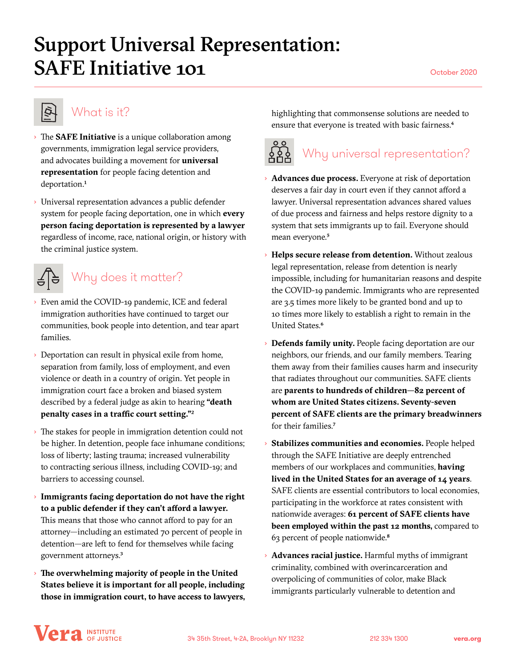## Support Universal Representation: SAFE Initiative 101

## **Q**

### What is it?

- › The **SAFE Initiative** is a unique collaboration among governments, immigration legal service providers, and advocates building a movement for **universal representation** for people facing detention and deportation.<sup>1</sup>
- › Universal representation advances a public defender system for people facing deportation, one in which **every person facing deportation is represented by a lawyer** regardless of income, race, national origin, or history with the criminal justice system.



## Why does it matter?

- › Even amid the COVID-19 pandemic, ICE and federal immigration authorities have continued to target our communities, book people into detention, and tear apart families.
- › Deportation can result in physical exile from home, separation from family, loss of employment, and even violence or death in a country of origin. Yet people in immigration court face a broken and biased system described by a federal judge as akin to hearing **"death penalty cases in a traffic court setting."**2
- › The stakes for people in immigration detention could not be higher. In detention, people face inhumane conditions; loss of liberty; lasting trauma; increased vulnerability to contracting serious illness, including COVID-19; and barriers to accessing counsel.
- › **Immigrants facing deportation do not have the right to a public defender if they can't afford a lawyer.**  This means that those who cannot afford to pay for an attorney—including an estimated 70 percent of people in detention—are left to fend for themselves while facing government attorneys.3
- › **The overwhelming majority of people in the United States believe it is important for all people, including those in immigration court, to have access to lawyers,**

highlighting that commonsense solutions are needed to ensure that everyone is treated with basic fairness.<sup>4</sup>

# Why universal representation?

- › **Advances due process.** Everyone at risk of deportation deserves a fair day in court even if they cannot afford a lawyer. Universal representation advances shared values of due process and fairness and helps restore dignity to a system that sets immigrants up to fail. Everyone should mean everyone.<sup>5</sup>
- › **Helps secure release from detention.** Without zealous legal representation, release from detention is nearly impossible, including for humanitarian reasons and despite the COVID-19 pandemic. Immigrants who are represented are 3.5 times more likely to be granted bond and up to 10 times more likely to establish a right to remain in the United States.6
- › **Defends family unity.** People facing deportation are our neighbors, our friends, and our family members. Tearing them away from their families causes harm and insecurity that radiates throughout our communities. SAFE clients are **parents to hundreds of children—82 percent of whom are United States citizens. Seventy-seven percent of SAFE clients are the primary breadwinners** for their families.7
- › **Stabilizes communities and economies.** People helped through the SAFE Initiative are deeply entrenched members of our workplaces and communities, **having lived in the United States for an average of 14 years**. SAFE clients are essential contributors to local economies, participating in the workforce at rates consistent with nationwide averages: **61 percent of SAFE clients have been employed within the past 12 months,** compared to 63 percent of people nationwide.8
- › **Advances racial justice.** Harmful myths of immigrant criminality, combined with overincarceration and overpolicing of communities of color, make Black immigrants particularly vulnerable to detention and